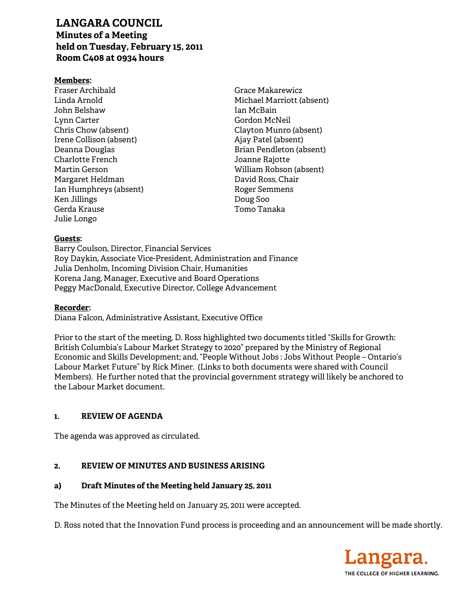# **LANGARA COUNCIL**

**Minutes of a Meeting held on Tuesday, February 15, 2011 Room C408 at 0934 hours** 

### **Members:**

Fraser Archibald Linda Arnold John Belshaw Lynn Carter Chris Chow (absent) Irene Collison (absent) Deanna Douglas Charlotte French Martin Gerson Margaret Heldman Ian Humphreys (absent) Ken Jillings Gerda Krause Julie Longo

Grace Makarewicz Michael Marriott (absent) Ian McBain Gordon McNeil Clayton Munro (absent) Ajay Patel (absent) Brian Pendleton (absent) Joanne Rajotte William Robson (absent) David Ross, Chair Roger Semmens Doug Soo Tomo Tanaka

### **Guests:**

Barry Coulson, Director, Financial Services Roy Daykin, Associate Vice-President, Administration and Finance Julia Denholm, Incoming Division Chair, Humanities Korena Jang, Manager, Executive and Board Operations Peggy MacDonald, Executive Director, College Advancement

# **Recorder:**

Diana Falcon, Administrative Assistant, Executive Office

Prior to the start of the meeting, D. Ross highlighted two documents titled "Skills for Growth: British Columbia's Labour Market Strategy to 2020" prepared by the Ministry of Regional Economic and Skills Development; and, "People Without Jobs : Jobs Without People – Ontario's Labour Market Future" by Rick Miner. (Links to both documents were shared with Council Members). He further noted that the provincial government strategy will likely be anchored to the Labour Market document.

# **1. REVIEW OF AGENDA**

The agenda was approved as circulated.

# **2. REVIEW OF MINUTES AND BUSINESS ARISING**

# **a) Draft Minutes of the Meeting held January 25, 2011**

The Minutes of the Meeting held on January 25, 2011 were accepted.

D. Ross noted that the Innovation Fund process is proceeding and an announcement will be made shortly.